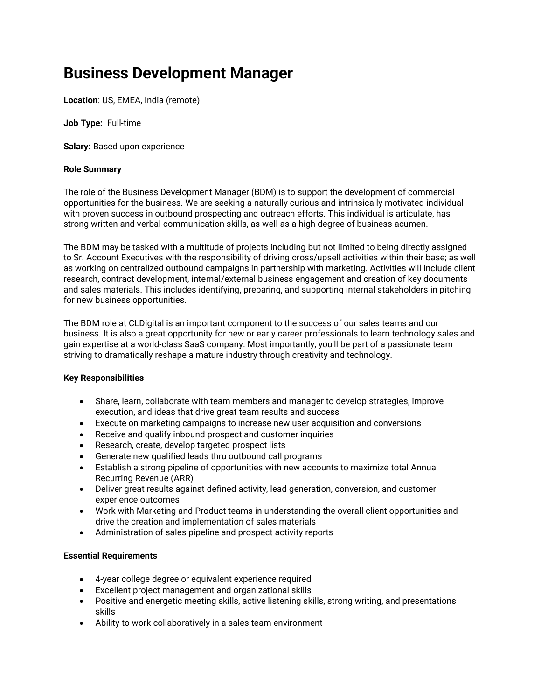# Business Development Manager

Location: US, EMEA, India (remote)

Job Type: Full-time

Salary: Based upon experience

### Role Summary

The role of the Business Development Manager (BDM) is to support the development of commercial opportunities for the business. We are seeking a naturally curious and intrinsically motivated individual with proven success in outbound prospecting and outreach efforts. This individual is articulate, has strong written and verbal communication skills, as well as a high degree of business acumen.

The BDM may be tasked with a multitude of projects including but not limited to being directly assigned to Sr. Account Executives with the responsibility of driving cross/upsell activities within their base; as well as working on centralized outbound campaigns in partnership with marketing. Activities will include client research, contract development, internal/external business engagement and creation of key documents and sales materials. This includes identifying, preparing, and supporting internal stakeholders in pitching for new business opportunities.

The BDM role at CLDigital is an important component to the success of our sales teams and our business. It is also a great opportunity for new or early career professionals to learn technology sales and gain expertise at a world-class SaaS company. Most importantly, you'll be part of a passionate team striving to dramatically reshape a mature industry through creativity and technology.

# Key Responsibilities

- Share, learn, collaborate with team members and manager to develop strategies, improve execution, and ideas that drive great team results and success
- Execute on marketing campaigns to increase new user acquisition and conversions
- Receive and qualify inbound prospect and customer inquiries
- Research, create, develop targeted prospect lists
- Generate new qualified leads thru outbound call programs
- Establish a strong pipeline of opportunities with new accounts to maximize total Annual Recurring Revenue (ARR)
- Deliver great results against defined activity, lead generation, conversion, and customer experience outcomes
- Work with Marketing and Product teams in understanding the overall client opportunities and drive the creation and implementation of sales materials
- Administration of sales pipeline and prospect activity reports

# Essential Requirements

- 4-year college degree or equivalent experience required
- Excellent project management and organizational skills
- Positive and energetic meeting skills, active listening skills, strong writing, and presentations skills
- Ability to work collaboratively in a sales team environment